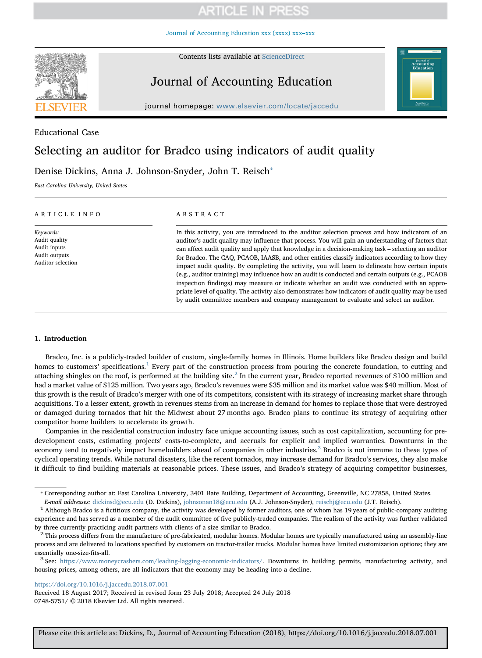[Journal of Accounting Education xxx \(xxxx\) xxx–xxx](https://doi.org/10.1016/j.jaccedu.2018.07.001)



Contents lists available at [ScienceDirect](http://www.sciencedirect.com/science/journal/07485751)

# Journal of Accounting Education

journal homepage: [www.elsevier.com/locate/jaccedu](https://www.elsevier.com/locate/jaccedu)

## Educational Case

# Selecting an auditor for Bradco using indicators of audit quality

Denise Dickins, Anna J. Johnson-Snyder, John T. Reisch<sup>\*</sup>

East Carolina University, United States

#### ARTICLE INFO

Keywords: Audit quality Audit inputs Audit outputs Auditor selection

#### ABSTRACT

In this activity, you are introduced to the auditor selection process and how indicators of an auditor's audit quality may influence that process. You will gain an understanding of factors that can affect audit quality and apply that knowledge in a decision-making task – selecting an auditor for Bradco. The CAQ, PCAOB, IAASB, and other entities classify indicators according to how they impact audit quality. By completing the activity, you will learn to delineate how certain inputs (e.g., auditor training) may influence how an audit is conducted and certain outputs (e.g., PCAOB inspection findings) may measure or indicate whether an audit was conducted with an appropriate level of quality. The activity also demonstrates how indicators of audit quality may be used by audit committee members and company management to evaluate and select an auditor.

### 1. Introduction

Bradco, Inc. is a publicly-traded builder of custom, single-family homes in Illinois. Home builders like Bradco design and build homes to customers' specifications.<sup>[1](#page-0-1)</sup> Every part of the construction process from pouring the concrete foundation, to cutting and attaching shingles on the roof, is performed at the building site.<sup>[2](#page-0-2)</sup> In the current year, Bradco reported revenues of \$100 million and had a market value of \$125 million. Two years ago, Bradco's revenues were \$35 million and its market value was \$40 million. Most of this growth is the result of Bradco's merger with one of its competitors, consistent with its strategy of increasing market share through acquisitions. To a lesser extent, growth in revenues stems from an increase in demand for homes to replace those that were destroyed or damaged during tornados that hit the Midwest about 27 months ago. Bradco plans to continue its strategy of acquiring other competitor home builders to accelerate its growth.

Companies in the residential construction industry face unique accounting issues, such as cost capitalization, accounting for predevelopment costs, estimating projects' costs-to-complete, and accruals for explicit and implied warranties. Downturns in the economy tend to negatively impact homebuilders ahead of companies in other industries.<sup>[3](#page-0-3)</sup> Bradco is not immune to these types of cyclical operating trends. While natural disasters, like the recent tornados, may increase demand for Bradco's services, they also make it difficult to find building materials at reasonable prices. These issues, and Bradco's strategy of acquiring competitor businesses,

E-mail addresses: [dickinsd@ecu.edu](mailto:dickinsd@ecu.edu) (D. Dickins), [johnsonan18@ecu.edu](mailto:johnsonan18@ecu.edu) (A.J. Johnson-Snyder), [reischj@ecu.edu](mailto:reischj@ecu.edu) (J.T. Reisch).<br><sup>1</sup> Although Bradco is a fictitious company, the activity was developed by former auditors, one of

<https://doi.org/10.1016/j.jaccedu.2018.07.001>

Received 18 August 2017; Received in revised form 23 July 2018; Accepted 24 July 2018 0748-5751/ © 2018 Elsevier Ltd. All rights reserved.

<span id="page-0-0"></span><sup>⁎</sup> Corresponding author at: East Carolina University, 3401 Bate Building, Department of Accounting, Greenville, NC 27858, United States.

<span id="page-0-1"></span>experience and has served as a member of the audit committee of five publicly-traded companies. The realism of the activity was further validated

<span id="page-0-2"></span>by three currently-practicing audit partners with clients of a size similar to Bradco.<br><sup>2</sup> This process differs from the manufacture of pre-fabricated, modular homes. Modular homes are typically manufactured using an assem process and are delivered to locations specified by customers on tractor-trailer trucks. Modular homes have limited customization options; they are

<span id="page-0-3"></span>essentially one-size-fits-all.<br><sup>3</sup> See: [https://www.moneycrashers.com/leading-lagging-economic-indicators/.](https://www.moneycrashers.com/leading-lagging-economic-indicators/) Downturns in building permits, manufacturing activity, and housing prices, among others, are all indicators that the economy may be heading into a decline.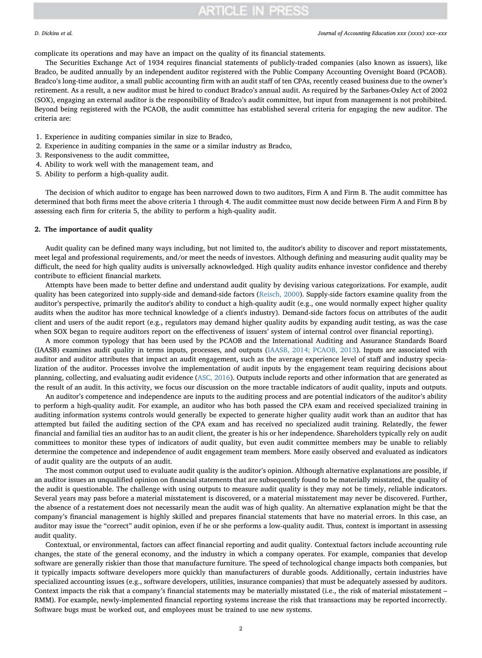complicate its operations and may have an impact on the quality of its financial statements.

The Securities Exchange Act of 1934 requires financial statements of publicly-traded companies (also known as issuers), like Bradco, be audited annually by an independent auditor registered with the Public Company Accounting Oversight Board (PCAOB). Bradco's long-time auditor, a small public accounting firm with an audit staff of ten CPAs, recently ceased business due to the owner's retirement. As a result, a new auditor must be hired to conduct Bradco's annual audit. As required by the Sarbanes-Oxley Act of 2002 (SOX), engaging an external auditor is the responsibility of Bradco's audit committee, but input from management is not prohibited. Beyond being registered with the PCAOB, the audit committee has established several criteria for engaging the new auditor. The criteria are:

- 1. Experience in auditing companies similar in size to Bradco,
- 2. Experience in auditing companies in the same or a similar industry as Bradco,
- 3. Responsiveness to the audit committee,
- 4. Ability to work well with the management team, and
- 5. Ability to perform a high-quality audit.

The decision of which auditor to engage has been narrowed down to two auditors, Firm A and Firm B. The audit committee has determined that both firms meet the above criteria 1 through 4. The audit committee must now decide between Firm A and Firm B by assessing each firm for criteria 5, the ability to perform a high-quality audit.

#### 2. The importance of audit quality

Audit quality can be defined many ways including, but not limited to, the auditor's ability to discover and report misstatements, meet legal and professional requirements, and/or meet the needs of investors. Although defining and measuring audit quality may be difficult, the need for high quality audits is universally acknowledged. High quality audits enhance investor confidence and thereby contribute to efficient financial markets.

Attempts have been made to better define and understand audit quality by devising various categorizations. For example, audit quality has been categorized into supply-side and demand-side factors ([Reisch, 2000\)](#page-12-0). Supply-side factors examine quality from the auditor's perspective, primarily the auditor's ability to conduct a high-quality audit (e.g., one would normally expect higher quality audits when the auditor has more technical knowledge of a client's industry). Demand-side factors focus on attributes of the audit client and users of the audit report (e.g., regulators may demand higher quality audits by expanding audit testing, as was the case when SOX began to require auditors report on the effectiveness of issuers' system of internal control over financial reporting).

A more common typology that has been used by the PCAOB and the International Auditing and Assurance Standards Board (IAASB) examines audit quality in terms inputs, processes, and outputs ([IAASB, 2014; PCAOB, 2013](#page-12-1)). Inputs are associated with auditor and auditor attributes that impact an audit engagement, such as the average experience level of staff and industry specialization of the auditor. Processes involve the implementation of audit inputs by the engagement team requiring decisions about planning, collecting, and evaluating audit evidence [\(ASC, 2016](#page-12-2)). Outputs include reports and other information that are generated as the result of an audit. In this activity, we focus our discussion on the more tractable indicators of audit quality, inputs and outputs.

An auditor's competence and independence are inputs to the auditing process and are potential indicators of the auditor's ability to perform a high-quality audit. For example, an auditor who has both passed the CPA exam and received specialized training in auditing information systems controls would generally be expected to generate higher quality audit work than an auditor that has attempted but failed the auditing section of the CPA exam and has received no specialized audit training. Relatedly, the fewer financial and familial ties an auditor has to an audit client, the greater is his or her independence. Shareholders typically rely on audit committees to monitor these types of indicators of audit quality, but even audit committee members may be unable to reliably determine the competence and independence of audit engagement team members. More easily observed and evaluated as indicators of audit quality are the outputs of an audit.

The most common output used to evaluate audit quality is the auditor's opinion. Although alternative explanations are possible, if an auditor issues an unqualified opinion on financial statements that are subsequently found to be materially misstated, the quality of the audit is questionable. The challenge with using outputs to measure audit quality is they may not be timely, reliable indicators. Several years may pass before a material misstatement is discovered, or a material misstatement may never be discovered. Further, the absence of a restatement does not necessarily mean the audit was of high quality. An alternative explanation might be that the company's financial management is highly skilled and prepares financial statements that have no material errors. In this case, an auditor may issue the "correct" audit opinion, even if he or she performs a low-quality audit. Thus, context is important in assessing audit quality.

Contextual, or environmental, factors can affect financial reporting and audit quality. Contextual factors include accounting rule changes, the state of the general economy, and the industry in which a company operates. For example, companies that develop software are generally riskier than those that manufacture furniture. The speed of technological change impacts both companies, but it typically impacts software developers more quickly than manufacturers of durable goods. Additionally, certain industries have specialized accounting issues (e.g., software developers, utilities, insurance companies) that must be adequately assessed by auditors. Context impacts the risk that a company's financial statements may be materially misstated (i.e., the risk of material misstatement – RMM). For example, newly-implemented financial reporting systems increase the risk that transactions may be reported incorrectly. Software bugs must be worked out, and employees must be trained to use new systems.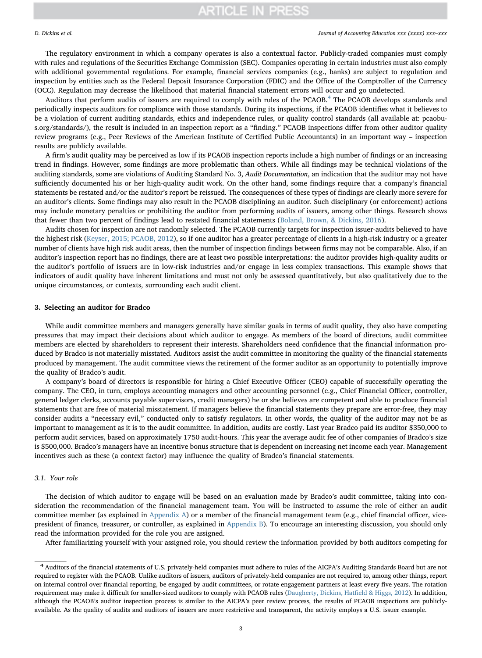The regulatory environment in which a company operates is also a contextual factor. Publicly-traded companies must comply with rules and regulations of the Securities Exchange Commission (SEC). Companies operating in certain industries must also comply with additional governmental regulations. For example, financial services companies (e.g., banks) are subject to regulation and inspection by entities such as the Federal Deposit Insurance Corporation (FDIC) and the Office of the Comptroller of the Currency (OCC). Regulation may decrease the likelihood that material financial statement errors will occur and go undetected.

Auditors that perform audits of issuers are required to comply with rules of the PCAOB.<sup>[4](#page-2-0)</sup> The PCAOB develops standards and periodically inspects auditors for compliance with those standards. During its inspections, if the PCAOB identifies what it believes to be a violation of current auditing standards, ethics and independence rules, or quality control standards (all available at: pcaobus.org/standards/), the result is included in an inspection report as a "finding." PCAOB inspections differ from other auditor quality review programs (e.g., Peer Reviews of the American Institute of Certified Public Accountants) in an important way – inspection results are publicly available.

A firm's audit quality may be perceived as low if its PCAOB inspection reports include a high number of findings or an increasing trend in findings. However, some findings are more problematic than others. While all findings may be technical violations of the auditing standards, some are violations of Auditing Standard No. 3, Audit Documentation, an indication that the auditor may not have sufficiently documented his or her high-quality audit work. On the other hand, some findings require that a company's financial statements be restated and/or the auditor's report be reissued. The consequences of these types of findings are clearly more severe for an auditor's clients. Some findings may also result in the PCAOB disciplining an auditor. Such disciplinary (or enforcement) actions may include monetary penalties or prohibiting the auditor from performing audits of issuers, among other things. Research shows that fewer than two percent of findings lead to restated financial statements ([Boland, Brown, & Dickins, 2016](#page-12-3)).

Audits chosen for inspection are not randomly selected. The PCAOB currently targets for inspection issuer-audits believed to have the highest risk [\(Keyser, 2015; PCAOB, 2012](#page-12-4)), so if one auditor has a greater percentage of clients in a high-risk industry or a greater number of clients have high risk audit areas, then the number of inspection findings between firms may not be comparable. Also, if an auditor's inspection report has no findings, there are at least two possible interpretations: the auditor provides high-quality audits or the auditor's portfolio of issuers are in low-risk industries and/or engage in less complex transactions. This example shows that indicators of audit quality have inherent limitations and must not only be assessed quantitatively, but also qualitatively due to the unique circumstances, or contexts, surrounding each audit client.

#### 3. Selecting an auditor for Bradco

While audit committee members and managers generally have similar goals in terms of audit quality, they also have competing pressures that may impact their decisions about which auditor to engage. As members of the board of directors, audit committee members are elected by shareholders to represent their interests. Shareholders need confidence that the financial information produced by Bradco is not materially misstated. Auditors assist the audit committee in monitoring the quality of the financial statements produced by management. The audit committee views the retirement of the former auditor as an opportunity to potentially improve the quality of Bradco's audit.

A company's board of directors is responsible for hiring a Chief Executive Officer (CEO) capable of successfully operating the company. The CEO, in turn, employs accounting managers and other accounting personnel (e.g., Chief Financial Officer, controller, general ledger clerks, accounts payable supervisors, credit managers) he or she believes are competent and able to produce financial statements that are free of material misstatement. If managers believe the financial statements they prepare are error-free, they may consider audits a "necessary evil," conducted only to satisfy regulators. In other words, the quality of the auditor may not be as important to management as it is to the audit committee. In addition, audits are costly. Last year Bradco paid its auditor \$350,000 to perform audit services, based on approximately 1750 audit-hours. This year the average audit fee of other companies of Bradco's size is \$500,000. Bradco's managers have an incentive bonus structure that is dependent on increasing net income each year. Management incentives such as these (a context factor) may influence the quality of Bradco's financial statements.

### 3.1. Your role

The decision of which auditor to engage will be based on an evaluation made by Bradco's audit committee, taking into consideration the recommendation of the financial management team. You will be instructed to assume the role of either an audit committee member (as explained in [Appendix A](#page-10-0)) or a member of the financial management team (e.g., chief financial officer, vicepresident of finance, treasurer, or controller, as explained in [Appendix B](#page-11-0)). To encourage an interesting discussion, you should only read the information provided for the role you are assigned.

After familiarizing yourself with your assigned role, you should review the information provided by both auditors competing for

<span id="page-2-0"></span><sup>4</sup> Auditors of the financial statements of U.S. privately-held companies must adhere to rules of the AICPA's Auditing Standards Board but are not required to register with the PCAOB. Unlike auditors of issuers, auditors of privately-held companies are not required to, among other things, report on internal control over financial reporting, be engaged by audit committees, or rotate engagement partners at least every five years. The rotation requirement may make it difficult for smaller-sized auditors to comply with PCAOB rules ([Daugherty, Dickins, Hat](#page-12-5)field & Higgs, 2012). In addition, although the PCAOB's auditor inspection process is similar to the AICPA's peer review process, the results of PCAOB inspections are publiclyavailable. As the quality of audits and auditors of issuers are more restrictive and transparent, the activity employs a U.S. issuer example.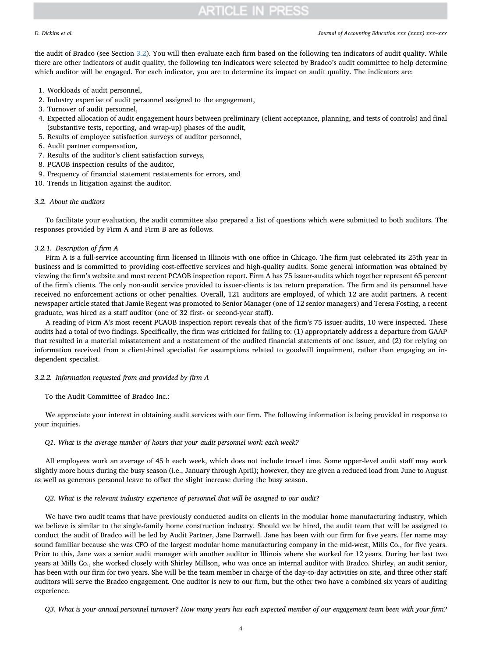#### D. Dickins et al. *Journal of Accounting Education xxx (xxxx) xxx–xxx*

the audit of Bradco (see Section [3.2](#page-3-0)). You will then evaluate each firm based on the following ten indicators of audit quality. While there are other indicators of audit quality, the following ten indicators were selected by Bradco's audit committee to help determine which auditor will be engaged. For each indicator, you are to determine its impact on audit quality. The indicators are:

- 1. Workloads of audit personnel,
- 2. Industry expertise of audit personnel assigned to the engagement,
- 3. Turnover of audit personnel,
- 4. Expected allocation of audit engagement hours between preliminary (client acceptance, planning, and tests of controls) and final (substantive tests, reporting, and wrap-up) phases of the audit,
- 5. Results of employee satisfaction surveys of auditor personnel,
- 6. Audit partner compensation,
- 7. Results of the auditor's client satisfaction surveys,
- 8. PCAOB inspection results of the auditor,
- 9. Frequency of financial statement restatements for errors, and
- 10. Trends in litigation against the auditor.

### <span id="page-3-0"></span>3.2. About the auditors

To facilitate your evaluation, the audit committee also prepared a list of questions which were submitted to both auditors. The responses provided by Firm A and Firm B are as follows.

#### 3.2.1. Description of firm A

Firm A is a full-service accounting firm licensed in Illinois with one office in Chicago. The firm just celebrated its 25th year in business and is committed to providing cost-effective services and high-quality audits. Some general information was obtained by viewing the firm's website and most recent PCAOB inspection report. Firm A has 75 issuer-audits which together represent 65 percent of the firm's clients. The only non-audit service provided to issuer-clients is tax return preparation. The firm and its personnel have received no enforcement actions or other penalties. Overall, 121 auditors are employed, of which 12 are audit partners. A recent newspaper article stated that Jamie Regent was promoted to Senior Manager (one of 12 senior managers) and Teresa Fosting, a recent graduate, was hired as a staff auditor (one of 32 first- or second-year staff).

A reading of Firm A's most recent PCAOB inspection report reveals that of the firm's 75 issuer-audits, 10 were inspected. These audits had a total of two findings. Specifically, the firm was criticized for failing to: (1) appropriately address a departure from GAAP that resulted in a material misstatement and a restatement of the audited financial statements of one issuer, and (2) for relying on information received from a client-hired specialist for assumptions related to goodwill impairment, rather than engaging an independent specialist.

## 3.2.2. Information requested from and provided by firm A

To the Audit Committee of Bradco Inc.:

We appreciate your interest in obtaining audit services with our firm. The following information is being provided in response to your inquiries.

#### Q1. What is the average number of hours that your audit personnel work each week?

All employees work an average of 45 h each week, which does not include travel time. Some upper-level audit staff may work slightly more hours during the busy season (i.e., January through April); however, they are given a reduced load from June to August as well as generous personal leave to offset the slight increase during the busy season.

### Q2. What is the relevant industry experience of personnel that will be assigned to our audit?

We have two audit teams that have previously conducted audits on clients in the modular home manufacturing industry, which we believe is similar to the single-family home construction industry. Should we be hired, the audit team that will be assigned to conduct the audit of Bradco will be led by Audit Partner, Jane Darrwell. Jane has been with our firm for five years. Her name may sound familiar because she was CFO of the largest modular home manufacturing company in the mid-west, Mills Co., for five years. Prior to this, Jane was a senior audit manager with another auditor in Illinois where she worked for 12 years. During her last two years at Mills Co., she worked closely with Shirley Millson, who was once an internal auditor with Bradco. Shirley, an audit senior, has been with our firm for two years. She will be the team member in charge of the day-to-day activities on site, and three other staff auditors will serve the Bradco engagement. One auditor is new to our firm, but the other two have a combined six years of auditing experience.

Q3. What is your annual personnel turnover? How many years has each expected member of our engagement team been with your firm?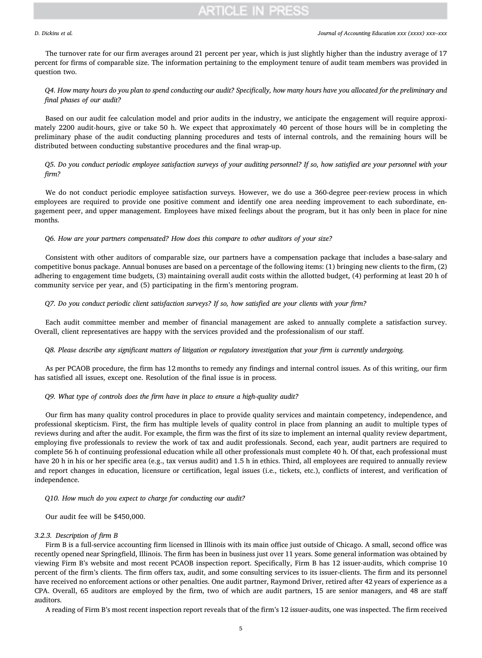The turnover rate for our firm averages around 21 percent per year, which is just slightly higher than the industry average of 17 percent for firms of comparable size. The information pertaining to the employment tenure of audit team members was provided in question two.

### Q4. How many hours do you plan to spend conducting our audit? Specifically, how many hours have you allocated for the preliminary and final phases of our audit?

Based on our audit fee calculation model and prior audits in the industry, we anticipate the engagement will require approximately 2200 audit-hours, give or take 50 h. We expect that approximately 40 percent of those hours will be in completing the preliminary phase of the audit conducting planning procedures and tests of internal controls, and the remaining hours will be distributed between conducting substantive procedures and the final wrap-up.

### Q5. Do you conduct periodic employee satisfaction surveys of your auditing personnel? If so, how satisfied are your personnel with your firm?

We do not conduct periodic employee satisfaction surveys. However, we do use a 360-degree peer-review process in which employees are required to provide one positive comment and identify one area needing improvement to each subordinate, engagement peer, and upper management. Employees have mixed feelings about the program, but it has only been in place for nine months.

#### Q6. How are your partners compensated? How does this compare to other auditors of your size?

Consistent with other auditors of comparable size, our partners have a compensation package that includes a base-salary and competitive bonus package. Annual bonuses are based on a percentage of the following items: (1) bringing new clients to the firm, (2) adhering to engagement time budgets, (3) maintaining overall audit costs within the allotted budget, (4) performing at least 20 h of community service per year, and (5) participating in the firm's mentoring program.

#### Q7. Do you conduct periodic client satisfaction surveys? If so, how satisfied are your clients with your firm?

Each audit committee member and member of financial management are asked to annually complete a satisfaction survey. Overall, client representatives are happy with the services provided and the professionalism of our staff.

#### Q8. Please describe any significant matters of litigation or regulatory investigation that your firm is currently undergoing.

As per PCAOB procedure, the firm has 12 months to remedy any findings and internal control issues. As of this writing, our firm has satisfied all issues, except one. Resolution of the final issue is in process.

### Q9. What type of controls does the firm have in place to ensure a high-quality audit?

Our firm has many quality control procedures in place to provide quality services and maintain competency, independence, and professional skepticism. First, the firm has multiple levels of quality control in place from planning an audit to multiple types of reviews during and after the audit. For example, the firm was the first of its size to implement an internal quality review department, employing five professionals to review the work of tax and audit professionals. Second, each year, audit partners are required to complete 56 h of continuing professional education while all other professionals must complete 40 h. Of that, each professional must have 20 h in his or her specific area (e.g., tax versus audit) and 1.5 h in ethics. Third, all employees are required to annually review and report changes in education, licensure or certification, legal issues (i.e., tickets, etc.), conflicts of interest, and verification of independence.

#### Q10. How much do you expect to charge for conducting our audit?

Our audit fee will be \$450,000.

### 3.2.3. Description of firm B

Firm B is a full-service accounting firm licensed in Illinois with its main office just outside of Chicago. A small, second office was recently opened near Springfield, Illinois. The firm has been in business just over 11 years. Some general information was obtained by viewing Firm B's website and most recent PCAOB inspection report. Specifically, Firm B has 12 issuer-audits, which comprise 10 percent of the firm's clients. The firm offers tax, audit, and some consulting services to its issuer-clients. The firm and its personnel have received no enforcement actions or other penalties. One audit partner, Raymond Driver, retired after 42 years of experience as a CPA. Overall, 65 auditors are employed by the firm, two of which are audit partners, 15 are senior managers, and 48 are staff auditors.

A reading of Firm B's most recent inspection report reveals that of the firm's 12 issuer-audits, one was inspected. The firm received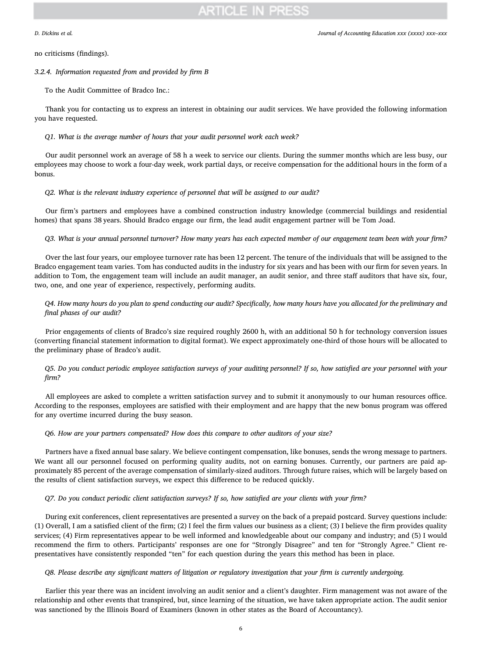no criticisms (findings).

#### 3.2.4. Information requested from and provided by firm B

To the Audit Committee of Bradco Inc.:

Thank you for contacting us to express an interest in obtaining our audit services. We have provided the following information you have requested.

Q1. What is the average number of hours that your audit personnel work each week?

Our audit personnel work an average of 58 h a week to service our clients. During the summer months which are less busy, our employees may choose to work a four-day week, work partial days, or receive compensation for the additional hours in the form of a bonus.

### Q2. What is the relevant industry experience of personnel that will be assigned to our audit?

Our firm's partners and employees have a combined construction industry knowledge (commercial buildings and residential homes) that spans 38 years. Should Bradco engage our firm, the lead audit engagement partner will be Tom Joad.

#### Q3. What is your annual personnel turnover? How many years has each expected member of our engagement team been with your firm?

Over the last four years, our employee turnover rate has been 12 percent. The tenure of the individuals that will be assigned to the Bradco engagement team varies. Tom has conducted audits in the industry for six years and has been with our firm for seven years. In addition to Tom, the engagement team will include an audit manager, an audit senior, and three staff auditors that have six, four, two, one, and one year of experience, respectively, performing audits.

Q4. How many hours do you plan to spend conducting our audit? Specifically, how many hours have you allocated for the preliminary and final phases of our audit?

Prior engagements of clients of Bradco's size required roughly 2600 h, with an additional 50 h for technology conversion issues (converting financial statement information to digital format). We expect approximately one-third of those hours will be allocated to the preliminary phase of Bradco's audit.

Q5. Do you conduct periodic employee satisfaction surveys of your auditing personnel? If so, how satisfied are your personnel with your firm?

All employees are asked to complete a written satisfaction survey and to submit it anonymously to our human resources office. According to the responses, employees are satisfied with their employment and are happy that the new bonus program was offered for any overtime incurred during the busy season.

#### Q6. How are your partners compensated? How does this compare to other auditors of your size?

Partners have a fixed annual base salary. We believe contingent compensation, like bonuses, sends the wrong message to partners. We want all our personnel focused on performing quality audits, not on earning bonuses. Currently, our partners are paid approximately 85 percent of the average compensation of similarly-sized auditors. Through future raises, which will be largely based on the results of client satisfaction surveys, we expect this difference to be reduced quickly.

### Q7. Do you conduct periodic client satisfaction surveys? If so, how satisfied are your clients with your firm?

During exit conferences, client representatives are presented a survey on the back of a prepaid postcard. Survey questions include: (1) Overall, I am a satisfied client of the firm; (2) I feel the firm values our business as a client; (3) I believe the firm provides quality services; (4) Firm representatives appear to be well informed and knowledgeable about our company and industry; and (5) I would recommend the firm to others. Participants' responses are one for "Strongly Disagree" and ten for "Strongly Agree." Client representatives have consistently responded "ten" for each question during the years this method has been in place.

#### Q8. Please describe any significant matters of litigation or regulatory investigation that your firm is currently undergoing.

Earlier this year there was an incident involving an audit senior and a client's daughter. Firm management was not aware of the relationship and other events that transpired, but, since learning of the situation, we have taken appropriate action. The audit senior was sanctioned by the Illinois Board of Examiners (known in other states as the Board of Accountancy).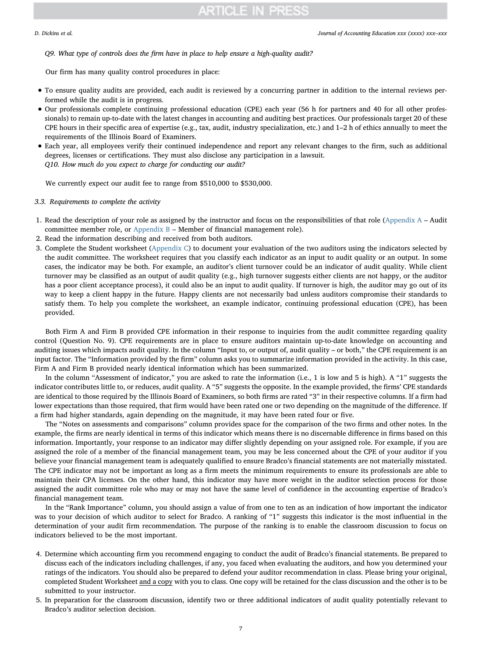Q9. What type of controls does the firm have in place to help ensure a high-quality audit?

Our firm has many quality control procedures in place:

- To ensure quality audits are provided, each audit is reviewed by a concurring partner in addition to the internal reviews performed while the audit is in progress.
- Our professionals complete continuing professional education (CPE) each year (56 h for partners and 40 for all other professionals) to remain up-to-date with the latest changes in accounting and auditing best practices. Our professionals target 20 of these CPE hours in their specific area of expertise (e.g., tax, audit, industry specialization, etc.) and 1–2 h of ethics annually to meet the requirements of the Illinois Board of Examiners.
- Each year, all employees verify their continued independence and report any relevant changes to the firm, such as additional degrees, licenses or certifications. They must also disclose any participation in a lawsuit. Q10. How much do you expect to charge for conducting our audit?

We currently expect our audit fee to range from \$510,000 to \$530,000.

### 3.3. Requirements to complete the activity

- 1. Read the description of your role as assigned by the instructor and focus on the responsibilities of that role [\(Appendix A](#page-10-0) Audit committee member role, or  $Appendix B - Member$  $Appendix B - Member$  of financial management role).
- 2. Read the information describing and received from both auditors.
- 3. Complete the Student worksheet ([Appendix C\)](#page-11-1) to document your evaluation of the two auditors using the indicators selected by the audit committee. The worksheet requires that you classify each indicator as an input to audit quality or an output. In some cases, the indicator may be both. For example, an auditor's client turnover could be an indicator of audit quality. While client turnover may be classified as an output of audit quality (e.g., high turnover suggests either clients are not happy, or the auditor has a poor client acceptance process), it could also be an input to audit quality. If turnover is high, the auditor may go out of its way to keep a client happy in the future. Happy clients are not necessarily bad unless auditors compromise their standards to satisfy them. To help you complete the worksheet, an example indicator, continuing professional education (CPE), has been provided.

Both Firm A and Firm B provided CPE information in their response to inquiries from the audit committee regarding quality control (Question No. 9). CPE requirements are in place to ensure auditors maintain up-to-date knowledge on accounting and auditing issues which impacts audit quality. In the column "Input to, or output of, audit quality – or both," the CPE requirement is an input factor. The "Information provided by the firm" column asks you to summarize information provided in the activity. In this case, Firm A and Firm B provided nearly identical information which has been summarized.

In the column "Assessment of indicator," you are asked to rate the information (i.e., 1 is low and 5 is high). A "1" suggests the indicator contributes little to, or reduces, audit quality. A "5" suggests the opposite. In the example provided, the firms' CPE standards are identical to those required by the Illinois Board of Examiners, so both firms are rated "3" in their respective columns. If a firm had lower expectations than those required, that firm would have been rated one or two depending on the magnitude of the difference. If a firm had higher standards, again depending on the magnitude, it may have been rated four or five.

The "Notes on assessments and comparisons" column provides space for the comparison of the two firms and other notes. In the example, the firms are nearly identical in terms of this indicator which means there is no discernable difference in firms based on this information. Importantly, your response to an indicator may differ slightly depending on your assigned role. For example, if you are assigned the role of a member of the financial management team, you may be less concerned about the CPE of your auditor if you believe your financial management team is adequately qualified to ensure Bradco's financial statements are not materially misstated. The CPE indicator may not be important as long as a firm meets the minimum requirements to ensure its professionals are able to maintain their CPA licenses. On the other hand, this indicator may have more weight in the auditor selection process for those assigned the audit committee role who may or may not have the same level of confidence in the accounting expertise of Bradco's financial management team.

In the "Rank Importance" column, you should assign a value of from one to ten as an indication of how important the indicator was to your decision of which auditor to select for Bradco. A ranking of "1" suggests this indicator is the most influential in the determination of your audit firm recommendation. The purpose of the ranking is to enable the classroom discussion to focus on indicators believed to be the most important.

- 4. Determine which accounting firm you recommend engaging to conduct the audit of Bradco's financial statements. Be prepared to discuss each of the indicators including challenges, if any, you faced when evaluating the auditors, and how you determined your ratings of the indicators. You should also be prepared to defend your auditor recommendation in class. Please bring your original, completed Student Worksheet and a copy with you to class. One copy will be retained for the class discussion and the other is to be submitted to your instructor.
- 5. In preparation for the classroom discussion, identify two or three additional indicators of audit quality potentially relevant to Bradco's auditor selection decision.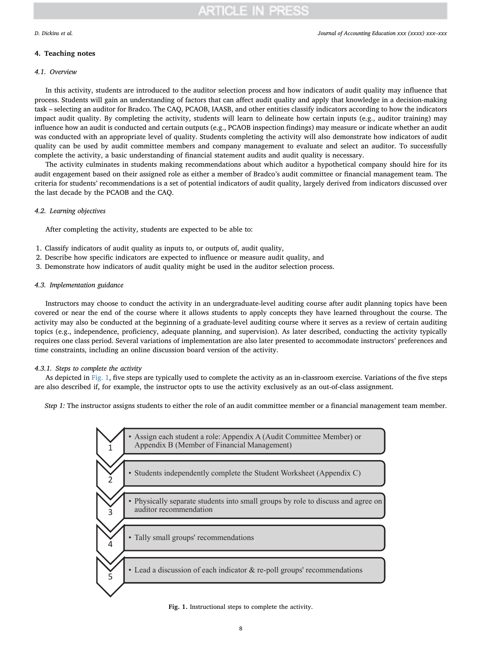#### D. Dickins et al. *Journal of Accounting Education xxx (xxxx) xxx–xxx*

## 4. Teaching notes

#### 4.1. Overview

In this activity, students are introduced to the auditor selection process and how indicators of audit quality may influence that process. Students will gain an understanding of factors that can affect audit quality and apply that knowledge in a decision-making task – selecting an auditor for Bradco. The CAQ, PCAOB, IAASB, and other entities classify indicators according to how the indicators impact audit quality. By completing the activity, students will learn to delineate how certain inputs (e.g., auditor training) may influence how an audit is conducted and certain outputs (e.g., PCAOB inspection findings) may measure or indicate whether an audit was conducted with an appropriate level of quality. Students completing the activity will also demonstrate how indicators of audit quality can be used by audit committee members and company management to evaluate and select an auditor. To successfully complete the activity, a basic understanding of financial statement audits and audit quality is necessary.

The activity culminates in students making recommendations about which auditor a hypothetical company should hire for its audit engagement based on their assigned role as either a member of Bradco's audit committee or financial management team. The criteria for students' recommendations is a set of potential indicators of audit quality, largely derived from indicators discussed over the last decade by the PCAOB and the CAQ.

### 4.2. Learning objectives

After completing the activity, students are expected to be able to:

- 1. Classify indicators of audit quality as inputs to, or outputs of, audit quality,
- 2. Describe how specific indicators are expected to influence or measure audit quality, and
- 3. Demonstrate how indicators of audit quality might be used in the auditor selection process.

### 4.3. Implementation guidance

Instructors may choose to conduct the activity in an undergraduate-level auditing course after audit planning topics have been covered or near the end of the course where it allows students to apply concepts they have learned throughout the course. The activity may also be conducted at the beginning of a graduate-level auditing course where it serves as a review of certain auditing topics (e.g., independence, proficiency, adequate planning, and supervision). As later described, conducting the activity typically requires one class period. Several variations of implementation are also later presented to accommodate instructors' preferences and time constraints, including an online discussion board version of the activity.

#### 4.3.1. Steps to complete the activity

As depicted in [Fig. 1](#page-7-0), five steps are typically used to complete the activity as an in-classroom exercise. Variations of the five steps are also described if, for example, the instructor opts to use the activity exclusively as an out-of-class assignment.

<span id="page-7-0"></span>Step 1: The instructor assigns students to either the role of an audit committee member or a financial management team member.



Fig. 1. Instructional steps to complete the activity.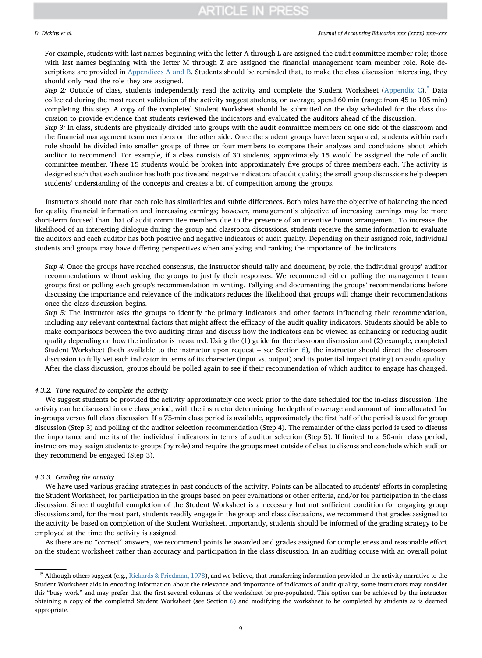#### D. Dickins et al. *Journal of Accounting Education xxx (xxxx) xxx–xxx*

For example, students with last names beginning with the letter A through L are assigned the audit committee member role; those with last names beginning with the letter M through Z are assigned the financial management team member role. Role de-scriptions are provided in [Appendices A and B.](#page-10-0) Students should be reminded that, to make the class discussion interesting, they should only read the role they are assigned.

Step 2: Outside of class, students independently read the activity and complete the Student Worksheet [\(Appendix C\)](#page-11-1).<sup>[5](#page-8-0)</sup> Data collected during the most recent validation of the activity suggest students, on average, spend 60 min (range from 45 to 105 min) completing this step. A copy of the completed Student Worksheet should be submitted on the day scheduled for the class discussion to provide evidence that students reviewed the indicators and evaluated the auditors ahead of the discussion.

Step 3: In class, students are physically divided into groups with the audit committee members on one side of the classroom and the financial management team members on the other side. Once the student groups have been separated, students within each role should be divided into smaller groups of three or four members to compare their analyses and conclusions about which auditor to recommend. For example, if a class consists of 30 students, approximately 15 would be assigned the role of audit committee member. These 15 students would be broken into approximately five groups of three members each. The activity is designed such that each auditor has both positive and negative indicators of audit quality; the small group discussions help deepen students' understanding of the concepts and creates a bit of competition among the groups.

Instructors should note that each role has similarities and subtle differences. Both roles have the objective of balancing the need for quality financial information and increasing earnings; however, management's objective of increasing earnings may be more short-term focused than that of audit committee members due to the presence of an incentive bonus arrangement. To increase the likelihood of an interesting dialogue during the group and classroom discussions, students receive the same information to evaluate the auditors and each auditor has both positive and negative indicators of audit quality. Depending on their assigned role, individual students and groups may have differing perspectives when analyzing and ranking the importance of the indicators.

Step 4: Once the groups have reached consensus, the instructor should tally and document, by role, the individual groups' auditor recommendations without asking the groups to justify their responses. We recommend either polling the management team groups first or polling each group's recommendation in writing. Tallying and documenting the groups' recommendations before discussing the importance and relevance of the indicators reduces the likelihood that groups will change their recommendations once the class discussion begins.

Step 5: The instructor asks the groups to identify the primary indicators and other factors influencing their recommendation, including any relevant contextual factors that might affect the efficacy of the audit quality indicators. Students should be able to make comparisons between the two auditing firms and discuss how the indicators can be viewed as enhancing or reducing audit quality depending on how the indicator is measured. Using the (1) guide for the classroom discussion and (2) example, completed Student Worksheet (both available to the instructor upon request – see Section  $6$ ), the instructor should direct the classroom discussion to fully vet each indicator in terms of its character (input vs. output) and its potential impact (rating) on audit quality. After the class discussion, groups should be polled again to see if their recommendation of which auditor to engage has changed.

### 4.3.2. Time required to complete the activity

We suggest students be provided the activity approximately one week prior to the date scheduled for the in-class discussion. The activity can be discussed in one class period, with the instructor determining the depth of coverage and amount of time allocated for in-groups versus full class discussion. If a 75-min class period is available, approximately the first half of the period is used for group discussion (Step 3) and polling of the auditor selection recommendation (Step 4). The remainder of the class period is used to discuss the importance and merits of the individual indicators in terms of auditor selection (Step 5). If limited to a 50-min class period, instructors may assign students to groups (by role) and require the groups meet outside of class to discuss and conclude which auditor they recommend be engaged (Step 3).

#### 4.3.3. Grading the activity

We have used various grading strategies in past conducts of the activity. Points can be allocated to students' efforts in completing the Student Worksheet, for participation in the groups based on peer evaluations or other criteria, and/or for participation in the class discussion. Since thoughtful completion of the Student Worksheet is a necessary but not sufficient condition for engaging group discussions and, for the most part, students readily engage in the group and class discussions, we recommend that grades assigned to the activity be based on completion of the Student Worksheet. Importantly, students should be informed of the grading strategy to be employed at the time the activity is assigned.

As there are no "correct" answers, we recommend points be awarded and grades assigned for completeness and reasonable effort on the student worksheet rather than accuracy and participation in the class discussion. In an auditing course with an overall point

<span id="page-8-0"></span><sup>5</sup> Although others suggest (e.g., [Rickards & Friedman, 1978\)](#page-12-6), and we believe, that transferring information provided in the activity narrative to the Student Worksheet aids in encoding information about the relevance and importance of indicators of audit quality, some instructors may consider this "busy work" and may prefer that the first several columns of the worksheet be pre-populated. This option can be achieved by the instructor obtaining a copy of the completed Student Worksheet (see Section [6\)](#page-10-1) and modifying the worksheet to be completed by students as is deemed appropriate.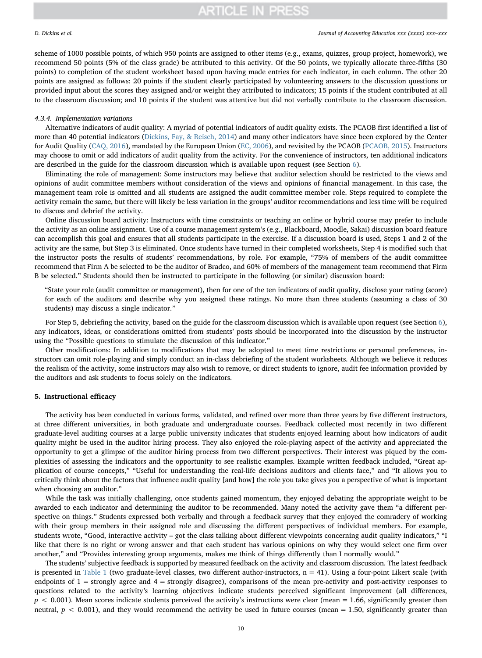#### D. Dickins et al. *Journal of Accounting Education xxx (xxxx) xxx–xxx*

scheme of 1000 possible points, of which 950 points are assigned to other items (e.g., exams, quizzes, group project, homework), we recommend 50 points (5% of the class grade) be attributed to this activity. Of the 50 points, we typically allocate three-fifths (30 points) to completion of the student worksheet based upon having made entries for each indicator, in each column. The other 20 points are assigned as follows: 20 points if the student clearly participated by volunteering answers to the discussion questions or provided input about the scores they assigned and/or weight they attributed to indicators; 15 points if the student contributed at all to the classroom discussion; and 10 points if the student was attentive but did not verbally contribute to the classroom discussion.

#### 4.3.4. Implementation variations

Alternative indicators of audit quality: A myriad of potential indicators of audit quality exists. The PCAOB first identified a list of more than 40 potential indicators [\(Dickins, Fay, & Reisch, 2014\)](#page-12-7) and many other indicators have since been explored by the Center for Audit Quality ([CAQ, 2016](#page-12-8)), mandated by the European Union ([EC, 2006\)](#page-12-9), and revisited by the PCAOB ([PCAOB, 2015](#page-12-10)). Instructors may choose to omit or add indicators of audit quality from the activity. For the convenience of instructors, ten additional indicators are described in the guide for the classroom discussion which is available upon request (see Section [6\)](#page-10-1).

Eliminating the role of management: Some instructors may believe that auditor selection should be restricted to the views and opinions of audit committee members without consideration of the views and opinions of financial management. In this case, the management team role is omitted and all students are assigned the audit committee member role. Steps required to complete the activity remain the same, but there will likely be less variation in the groups' auditor recommendations and less time will be required to discuss and debrief the activity.

Online discussion board activity: Instructors with time constraints or teaching an online or hybrid course may prefer to include the activity as an online assignment. Use of a course management system's (e.g., Blackboard, Moodle, Sakai) discussion board feature can accomplish this goal and ensures that all students participate in the exercise. If a discussion board is used, Steps 1 and 2 of the activity are the same, but Step 3 is eliminated. Once students have turned in their completed worksheets, Step 4 is modified such that the instructor posts the results of students' recommendations, by role. For example, "75% of members of the audit committee recommend that Firm A be selected to be the auditor of Bradco, and 60% of members of the management team recommend that Firm B be selected." Students should then be instructed to participate in the following (or similar) discussion board:

"State your role (audit committee or management), then for one of the ten indicators of audit quality, disclose your rating (score) for each of the auditors and describe why you assigned these ratings. No more than three students (assuming a class of 30 students) may discuss a single indicator."

For Step 5, debriefing the activity, based on the guide for the classroom discussion which is available upon request (see Section [6](#page-10-1)), any indicators, ideas, or considerations omitted from students' posts should be incorporated into the discussion by the instructor using the "Possible questions to stimulate the discussion of this indicator."

Other modifications: In addition to modifications that may be adopted to meet time restrictions or personal preferences, instructors can omit role-playing and simply conduct an in-class debriefing of the student worksheets. Although we believe it reduces the realism of the activity, some instructors may also wish to remove, or direct students to ignore, audit fee information provided by the auditors and ask students to focus solely on the indicators.

### 5. Instructional efficacy

The activity has been conducted in various forms, validated, and refined over more than three years by five different instructors, at three different universities, in both graduate and undergraduate courses. Feedback collected most recently in two different graduate-level auditing courses at a large public university indicates that students enjoyed learning about how indicators of audit quality might be used in the auditor hiring process. They also enjoyed the role-playing aspect of the activity and appreciated the opportunity to get a glimpse of the auditor hiring process from two different perspectives. Their interest was piqued by the complexities of assessing the indicators and the opportunity to see realistic examples. Example written feedback included, "Great application of course concepts," "Useful for understanding the real-life decisions auditors and clients face," and "It allows you to critically think about the factors that influence audit quality [and how] the role you take gives you a perspective of what is important when choosing an auditor."

While the task was initially challenging, once students gained momentum, they enjoyed debating the appropriate weight to be awarded to each indicator and determining the auditor to be recommended. Many noted the activity gave them "a different perspective on things." Students expressed both verbally and through a feedback survey that they enjoyed the comradery of working with their group members in their assigned role and discussing the different perspectives of individual members. For example, students wrote, "Good, interactive activity – got the class talking about different viewpoints concerning audit quality indicators," "I like that there is no right or wrong answer and that each student has various opinions on why they would select one firm over another," and "Provides interesting group arguments, makes me think of things differently than I normally would."

The students' subjective feedback is supported by measured feedback on the activity and classroom discussion. The latest feedback is presented in [Table 1](#page-10-2) (two graduate-level classes, two different author-instructors,  $n = 41$ ). Using a four-point Likert scale (with endpoints of  $1 =$  strongly agree and  $4 =$  strongly disagree), comparisons of the mean pre-activity and post-activity responses to questions related to the activity's learning objectives indicate students perceived significant improvement (all differences,  $p < 0.001$ ). Mean scores indicate students perceived the activity's instructions were clear (mean = 1.66, significantly greater than neutral,  $p < 0.001$ ), and they would recommend the activity be used in future courses (mean = 1.50, significantly greater than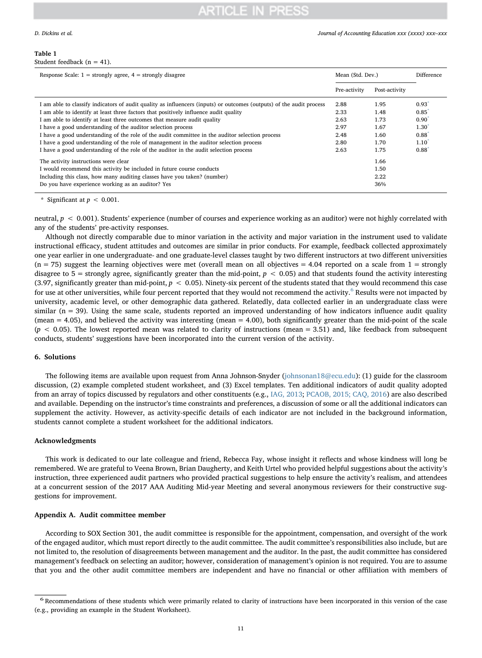#### D. Dickins et al. *Journal of Accounting Education xxx (xxxx) xxx–xxx*

### <span id="page-10-2"></span>Table 1

| Student feedback (n = 41). |  |
|----------------------------|--|
|----------------------------|--|

| Response Scale: $1 =$ strongly agree, $4 =$ strongly disagree                                                        | Mean (Std. Dev.) |               | <b>Difference</b> |
|----------------------------------------------------------------------------------------------------------------------|------------------|---------------|-------------------|
|                                                                                                                      | Pre-activity     | Post-activity |                   |
| I am able to classify indicators of audit quality as influencers (inputs) or outcomes (outputs) of the audit process | 2.88             | 1.95          | 0.93              |
| I am able to identify at least three factors that positively influence audit quality                                 | 2.33             | 1.48          | 0.85              |
| I am able to identify at least three outcomes that measure audit quality                                             | 2.63             | 1.73          | $0.90^{1}$        |
| I have a good understanding of the auditor selection process                                                         | 2.97             | 1.67          | $1.30^{1}$        |
| I have a good understanding of the role of the audit committee in the auditor selection process                      | 2.48             | 1.60          | 0.88              |
| I have a good understanding of the role of management in the auditor selection process                               | 2.80             | 1.70          | $1.10^{1}$        |
| I have a good understanding of the role of the auditor in the audit selection process                                | 2.63             | 1.75          | 0.88              |
| The activity instructions were clear                                                                                 |                  | 1.66          |                   |
| I would recommend this activity be included in future course conducts                                                |                  | 1.50          |                   |
| Including this class, how many auditing classes have you taken? (number)                                             |                  | 2.22          |                   |
| Do you have experience working as an auditor? Yes                                                                    |                  | 36%           |                   |

<span id="page-10-4"></span>Significant at  $p < 0.001$ .

neutral,  $p < 0.001$ ). Students' experience (number of courses and experience working as an auditor) were not highly correlated with any of the students' pre-activity responses.

Although not directly comparable due to minor variation in the activity and major variation in the instrument used to validate instructional efficacy, student attitudes and outcomes are similar in prior conducts. For example, feedback collected approximately one year earlier in one undergraduate- and one graduate-level classes taught by two different instructors at two different universities  $(n = 75)$  suggest the learning objectives were met (overall mean on all objectives = 4.04 reported on a scale from  $1 =$  strongly disagree to  $5 =$  strongly agree, significantly greater than the mid-point,  $p < 0.05$ ) and that students found the activity interesting (3.97, significantly greater than mid-point,  $p < 0.05$ ). Ninety-six percent of the students stated that they would recommend this case for use at other universities, while four percent reported that they would not recommend the activity.<sup>[6](#page-10-3)</sup> Results were not impacted by university, academic level, or other demographic data gathered. Relatedly, data collected earlier in an undergraduate class were similar ( $n = 39$ ). Using the same scale, students reported an improved understanding of how indicators influence audit quality (mean = 4.05), and believed the activity was interesting (mean = 4.00), both significantly greater than the mid-point of the scale  $(p < 0.05)$ . The lowest reported mean was related to clarity of instructions (mean = 3.51) and, like feedback from subsequent conducts, students' suggestions have been incorporated into the current version of the activity.

### <span id="page-10-1"></span>6. Solutions

The following items are available upon request from Anna Johnson-Snyder ([johnsonan18@ecu.edu\)](mailto:johnsonan18@ecu.edu): (1) guide for the classroom discussion, (2) example completed student worksheet, and (3) Excel templates. Ten additional indicators of audit quality adopted from an array of topics discussed by regulators and other constituents (e.g., [IAG, 2013;](#page-12-11) [PCAOB, 2015; CAQ, 2016](#page-12-10)) are also described and available. Depending on the instructor's time constraints and preferences, a discussion of some or all the additional indicators can supplement the activity. However, as activity-specific details of each indicator are not included in the background information, students cannot complete a student worksheet for the additional indicators.

#### Acknowledgments

This work is dedicated to our late colleague and friend, Rebecca Fay, whose insight it reflects and whose kindness will long be remembered. We are grateful to Veena Brown, Brian Daugherty, and Keith Urtel who provided helpful suggestions about the activity's instruction, three experienced audit partners who provided practical suggestions to help ensure the activity's realism, and attendees at a concurrent session of the 2017 AAA Auditing Mid-year Meeting and several anonymous reviewers for their constructive suggestions for improvement.

#### <span id="page-10-0"></span>Appendix A. Audit committee member

According to SOX Section 301, the audit committee is responsible for the appointment, compensation, and oversight of the work of the engaged auditor, which must report directly to the audit committee. The audit committee's responsibilities also include, but are not limited to, the resolution of disagreements between management and the auditor. In the past, the audit committee has considered management's feedback on selecting an auditor; however, consideration of management's opinion is not required. You are to assume that you and the other audit committee members are independent and have no financial or other affiliation with members of

<span id="page-10-3"></span><sup>6</sup> Recommendations of these students which were primarily related to clarity of instructions have been incorporated in this version of the case (e.g., providing an example in the Student Worksheet).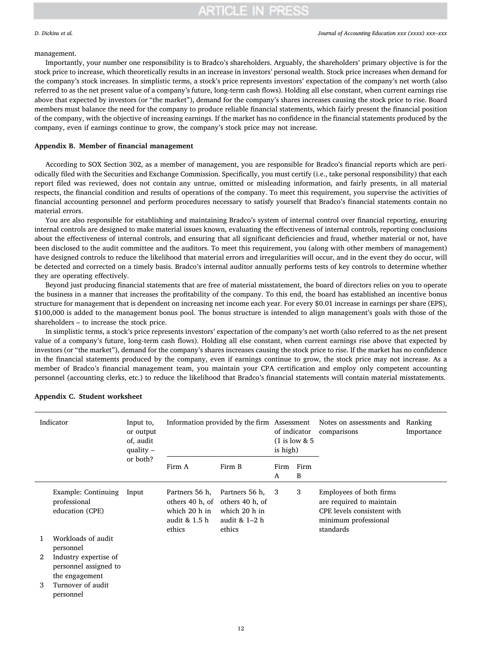#### management.

Importantly, your number one responsibility is to Bradco's shareholders. Arguably, the shareholders' primary objective is for the stock price to increase, which theoretically results in an increase in investors' personal wealth. Stock price increases when demand for the company's stock increases. In simplistic terms, a stock's price represents investors' expectation of the company's net worth (also referred to as the net present value of a company's future, long-term cash flows). Holding all else constant, when current earnings rise above that expected by investors (or "the market"), demand for the company's shares increases causing the stock price to rise. Board members must balance the need for the company to produce reliable financial statements, which fairly present the financial position of the company, with the objective of increasing earnings. If the market has no confidence in the financial statements produced by the company, even if earnings continue to grow, the company's stock price may not increase.

#### <span id="page-11-0"></span>Appendix B. Member of financial management

According to SOX Section 302, as a member of management, you are responsible for Bradco's financial reports which are periodically filed with the Securities and Exchange Commission. Specifically, you must certify (i.e., take personal responsibility) that each report filed was reviewed, does not contain any untrue, omitted or misleading information, and fairly presents, in all material respects, the financial condition and results of operations of the company. To meet this requirement, you supervise the activities of financial accounting personnel and perform procedures necessary to satisfy yourself that Bradco's financial statements contain no material errors.

You are also responsible for establishing and maintaining Bradco's system of internal control over financial reporting, ensuring internal controls are designed to make material issues known, evaluating the effectiveness of internal controls, reporting conclusions about the effectiveness of internal controls, and ensuring that all significant deficiencies and fraud, whether material or not, have been disclosed to the audit committee and the auditors. To meet this requirement, you (along with other members of management) have designed controls to reduce the likelihood that material errors and irregularities will occur, and in the event they do occur, will be detected and corrected on a timely basis. Bradco's internal auditor annually performs tests of key controls to determine whether they are operating effectively.

Beyond just producing financial statements that are free of material misstatement, the board of directors relies on you to operate the business in a manner that increases the profitability of the company. To this end, the board has established an incentive bonus structure for management that is dependent on increasing net income each year. For every \$0.01 increase in earnings per share (EPS), \$100,000 is added to the management bonus pool. The bonus structure is intended to align management's goals with those of the shareholders – to increase the stock price.

In simplistic terms, a stock's price represents investors' expectation of the company's net worth (also referred to as the net present value of a company's future, long-term cash flows). Holding all else constant, when current earnings rise above that expected by investors (or "the market"), demand for the company's shares increases causing the stock price to rise. If the market has no confidence in the financial statements produced by the company, even if earnings continue to grow, the stock price may not increase. As a member of Bradco's financial management team, you maintain your CPA certification and employ only competent accounting personnel (accounting clerks, etc.) to reduce the likelihood that Bradco's financial statements will contain material misstatements.

| Indicator |                                                                  | Input to,<br>or output<br>of, audit<br>quality $-$ | Information provided by the firm Assessment Notes on assessments and |                                                                                                   | of indicator<br>$(1$ is low & 5<br>is high) |           | comparisons                                                                                                            | Ranking<br>Importance |
|-----------|------------------------------------------------------------------|----------------------------------------------------|----------------------------------------------------------------------|---------------------------------------------------------------------------------------------------|---------------------------------------------|-----------|------------------------------------------------------------------------------------------------------------------------|-----------------------|
|           |                                                                  | or both?                                           | Firm A                                                               | Firm B                                                                                            | Firm<br>A                                   | Firm<br>B |                                                                                                                        |                       |
|           | Example: Continuing<br>professional<br>education (CPE)           | Input                                              | Partners 56 h,<br>which 20 h in<br>audit & 1.5 h<br>ethics           | Partners 56 h, 3<br>others 40 h, of others 40 h, of<br>which 20 h in<br>audit $& 1-2 h$<br>ethics |                                             | 3         | Employees of both firms<br>are required to maintain<br>CPE levels consistent with<br>minimum professional<br>standards |                       |
|           | Workloads of audit<br>personnel                                  |                                                    |                                                                      |                                                                                                   |                                             |           |                                                                                                                        |                       |
| 2         | Industry expertise of<br>personnel assigned to<br>the engagement |                                                    |                                                                      |                                                                                                   |                                             |           |                                                                                                                        |                       |
| 3         | Turnover of audit<br>personnel                                   |                                                    |                                                                      |                                                                                                   |                                             |           |                                                                                                                        |                       |

## <span id="page-11-1"></span>Appendix C. Student worksheet